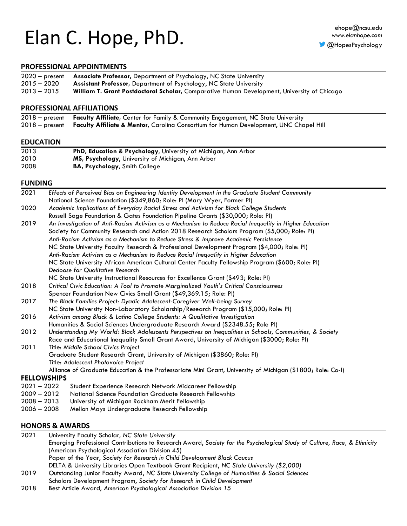# Elan C. Hope, PhD.

#### **PROFESSIONAL APPOINTMENTS**

|               | 2020 - present Associate Professor, Department of Psychology, NC State University           |
|---------------|---------------------------------------------------------------------------------------------|
| $2015 - 2020$ | <b>Assistant Professor, Department of Psychology, NC State University</b>                   |
| $2013 - 2015$ | William T. Grant Postdoctoral Scholar, Comparative Human Development, University of Chicago |

#### **PROFESSIONAL AFFILIATIONS**

| 2018 - present Faculty Affiliate, Center for Family & Community Engagement, NC State University       |
|-------------------------------------------------------------------------------------------------------|
| 2018 - present Faculty Affiliate & Mentor, Carolina Consortium for Human Development, UNC Chapel Hill |

#### **EDUCATION**

| 2013 | PhD, Education & Psychology, University of Michigan, Ann Arbor |
|------|----------------------------------------------------------------|
| 2010 | MS, Psychology, University of Michigan, Ann Arbor              |
| 2008 | <b>BA, Psychology, Smith College</b>                           |

#### **FUNDING**

| 2021          | Effects of Perceived Bias on Engineering Identity Development in the Graduate Student Community            |
|---------------|------------------------------------------------------------------------------------------------------------|
|               | National Science Foundation (\$349,860; Role: PI (Mary Wyer, Former PI)                                    |
| 2020          | Academic Implications of Everyday Racial Stress and Activism for Black College Students                    |
|               | Russell Sage Foundation & Gates Foundation Pipeline Grants (\$30,000; Role: PI)                            |
| 2019          | An Investigation of Anti-Racism Activism as a Mechanism to Reduce Racial Inequality in Higher Education    |
|               | Society for Community Research and Action 2018 Research Scholars Program (\$5,000; Role: PI)               |
|               | Anti-Racism Activism as a Mechanism to Reduce Stress & Improve Academic Persistence                        |
|               | NC State University Faculty Research & Professional Development Program (\$4,000; Role: PI)                |
|               | Anti-Racism Activism as a Mechanism to Reduce Racial Inequality in Higher Education                        |
|               | NC State University African American Cultural Center Faculty Fellowship Program (\$600; Role: PI)          |
|               | Dedoose for Qualitative Research                                                                           |
|               | NC State University Instructional Resources for Excellence Grant (\$493; Role: PI)                         |
| 2018          | Critical Civic Education: A Tool to Promote Marginalized Youth's Critical Consciousness                    |
|               | Spencer Foundation New Civics Small Grant (\$49,369.15; Role: PI)                                          |
| 2017          | The Black Families Project: Dyadic Adolescent-Caregiver Well-being Survey                                  |
|               | NC State University Non-Laboratory Scholarship/Research Program (\$15,000; Role: PI)                       |
| 2016          | Activism among Black & Latino College Students: A Qualitative Investigation                                |
|               | Humanities & Social Sciences Undergraduate Research Award (\$2348.55; Role PI)                             |
| 2012          | Understanding My World: Black Adolescents Perspectives on Inequalities in Schools, Communities, & Society  |
|               | Race and Educational Inequality Small Grant Award, University of Michigan (\$3000; Role: PI)               |
| 2011          | Title: Middle School Civics Project                                                                        |
|               | Graduate Student Research Grant, University of Michigan (\$3860; Role: PI)                                 |
|               | Title: Adolescent Photovoice Project                                                                       |
|               | Alliance of Graduate Education & the Professoriate Mini Grant, University of Michigan (\$1800; Role: Co-I) |
|               | <b>FELLOWSHIPS</b>                                                                                         |
| $2021 - 2022$ | Student Experience Research Network Midcareer Fellowship                                                   |
| $2009 - 2012$ | National Science Foundation Graduate Research Fellowship                                                   |
| $2008 - 2013$ | University of Michigan Rackham Merit Fellowship                                                            |
| $2006 - 2008$ | Mellon Mays Undergraduate Research Fellowship                                                              |
|               |                                                                                                            |

## **HONORS & AWARDS**<br>2021 University Facul

2021 University Faculty Scholar, *NC State University* Emerging Professional Contributions to Research Award, *Society for the Psychological Study of Culture, Race, & Ethnicity* (American Psychological Association Division 45) Paper of the Year, *Society for Research in Child Development Black Caucus* DELTA & University Libraries Open Textbook Grant Recipient, *NC State University (\$2,000)*

- 2019 Outstanding Junior Faculty Award, *NC State University College of Humanities & Social Sciences* Scholars Development Program, *Society for Research in Child Development*
- 2018 Best Article Award, *American Psychological Association Division 15*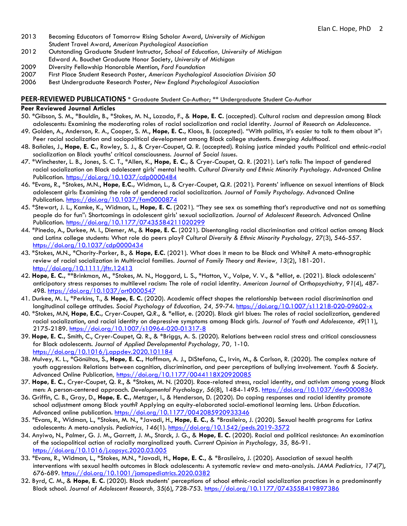- 2013 Becoming Educators of Tomorrow Rising Scholar Award, *University of Michigan* Student Travel Award, *American Psychological Association*
- 2012 Outstanding Graduate Student Instructor, *School of Education, University of Michigan* Edward A. Bouchet Graduate Honor Society, *University of Michigan*
- 2009 Diversity Fellowship Honorable Mention, *Ford Foundation*
- 2007 First Place Student Research Poster, *American Psychological Association Division 50*
- 2006 Best Undergraduate Research Poster, *New England Psychological Association*

#### **PEER-REVIEWED PUBLICATIONS** \* Graduate Student Co-Author; \*\* Undergraduate Student Co-Author

#### **Peer Reviewed Journal Articles**

- 50. \*Gibson, S. M., \*Bouldin, B., \*Stokes, M. N., Lozada, F., & **Hope, E. C.** (accepted). Cultural racism and depression among Black adolescents: Examining the moderating roles of racial socialization and racial identity. *Journal of Research on Adolescence.*
- 49. Golden, A., Anderson, R. A., Cooper, S. M., **Hope, E. C.,** Kloos, B. (accepted). "With politics, it's easier to talk to them about it": Peer racial socialization and sociopolitical development among Black college students. *Emerging Adulthood.*
- 48. Bañales, J., **Hope, E. C.,** Rowley, S. J., & Cryer-Coupet, Q. R. (accepted). Raising justice minded youth: Political and ethnic-racial socialization on Black youths' critical consciousness. *Journal of Social Issues.*
- 47. \*Winchester, L. B., Jones, S. C. T., \*Allen, K., **Hope, E. C.,** & Cryer-Coupet, Q. R. (2021). Let's talk: The impact of gendered racial socialization on Black adolescent girls' mental health. *Cultural Diversity and Ethnic Minority Psychology.* Advanced Online Publication. <https://doi.org/10.1037/cdp0000484>
- 46. \*Evans, R., \*Stokes, M.N., **Hope, E.C.,** Widman, L., & Cryer-Coupet, Q.R. (2021). Parents' influence on sexual intentions of Black adolescent girls: Examining the role of gendered racial socialization. *Journal of Family Psychology.* Advanced Online Publication.<https://doi.org/10.1037/fam0000874>
- 45. \*Stewart, J. L., Kamke, K., Widman, L., **Hope, E. C.** (2021). "They see sex as something that's reproductive and not as something people do for fun": Shortcomings in adolescent girls' sexual socialization. *Journal of Adolescent Research.* Advanced Online Publication.<https://doi.org/10.1177/07435584211020299>
- 44. \*Pinedo, A., Durkee, M. I., Diemer, M., & **Hope, E. C.** (2021). Disentangling racial discrimination and critical action among Black and Latinx college students: What role do peers play? *Cultural Diversity & Ethnic Minority Psychology, 27*(3), 546-557. <https://doi.org/10.1037/cdp0000434>
- 43. \*Stokes, M.N., \*Charity-Parker, B., & **Hope, E.C.** (2021). What does it mean to be Black and White? A meta-ethnographic review of racial socialization in Multiracial families. *Journal of Family Theory and Review, 13*(2), 181-201. <http://doi.org/10.1111/jftr.12413>
- 42. **Hope, E. C.,** \*\*Brinkman, M., \*Stokes, M. N., Hoggard, L. S., \*Hatton, V., Volpe, V. V., & \*elliot, e. (2021). Black adolescents' anticipatory stress responses to multilevel racism: The role of racial identity. *American Journal of Orthopsychiatry, 91*(4), 487- 498. <https://doi.org/10.1037/ort0000547>
- 41. Durkee, M. I., \*Perkins, T., & **Hope, E. C.** (2020). Academic affect shapes the relationship between racial discrimination and longitudinal college attitudes. *Social Psychology of Education, 24,* 59-74*.* <https://doi.org/10.1007/s11218-020-09602-x>
- 40. \*Stokes, M.N, **Hope, E.C.,** Cryer-Coupet, Q.R., & \*elliot, e. (2020). Black girl blues: The roles of racial socialization, gendered racial socialization, and racial identity on depressive symptoms among Black girls. *Journal of Youth and Adolescence, 49*(11), 2175-2189*.* <https://doi.org/10.1007/s10964-020-01317-8>
- 39. **Hope, E. C.,** Smith, C., Cryer-Coupet, Q. R., & \*Briggs, A. S. (2020). Relations between racial stress and critical consciousness for Black adolescents. *Journal of Applied Developmental Psychology, 70,* 1-10. <https://doi.org/10.1016/j.appdev.2020.101184>
- 38. Mulvey, K. L., \*Gönültas, S., **Hope, E. C.,** Hoffman, A. J., DiStefano, C., Irvin, M., & Carlson, R. (2020). The complex nature of youth aggression: Relations between cognition, discrimination, and peer perceptions of bullying involvement. *Youth & Society.*  Advanced Online Publication*,* <https://doi.org/10.1177/0044118X20920085>
- 37. **Hope, E. C.,** Cryer-Coupet, Q. R., & \*Stokes, M. N. (2020). Race-related stress, racial identity, and activism among young Black men: A person-centered approach. *Developmental Psychology, 56*(8), 1484-1495*.* <https://doi.org/10.1037/dev0000836>
- 36. Griffin, C. B., Gray, D., **Hope, E. C.,** Metzger, I., & Henderson, D. (2020). Do coping responses and racial identity promote school adjustment among Black youth? Applying an equity-elaborated social-emotional learning lens. *Urban Education.*  Advanced online publication. [https://doi.org/10.1177/0042085920933346](https://doi.org/10.1177%2F0042085920933346)
- 35. \*Evans, R., Widman, L., \*Stokes, M. N., \*Javadi, H., **Hope, E. C.,** & \*Brasileiro, J. (2020). Sexual health programs for Latinx adolescents: A meta-analysis*. Pediatrics, 146*(1).<https://doi.org/10.1542/peds.2019-3572>
- 34. Anyiwo, N., Palmer, G. J. M., Garrett, J. M., Starck, J. G., & **Hope, E. C.** (2020). Racial and political resistance: An examination of the sociopolitical action of racially marginalized youth. *Current Opinion in Psychology, 35,* 86-91*.*  <https://doi.org/10.1016/j.copsyc.2020.03.005>
- 33. \*Evans, R., Widman, L., \*Stokes, M.N., \*Javadi, H., **Hope, E. C.,** & \*Brasileiro, J. (2020). Association of sexual health interventions with sexual health outcomes in Black adolescents: A systematic review and meta-analysis*. JAMA Pediatrics, 174*(7), 676-689.<https://doi.org/10.1001/jamapediatrics.2020.0382>
- 32. Byrd, C. M., & **Hope, E. C.** (2020). Black students' perceptions of school ethnic-racial socialization practices in a predominantly Black school. *Journal of Adolescent Research, 35*(6), 728-753.<https://doi.org/10.1177/0743558419897386>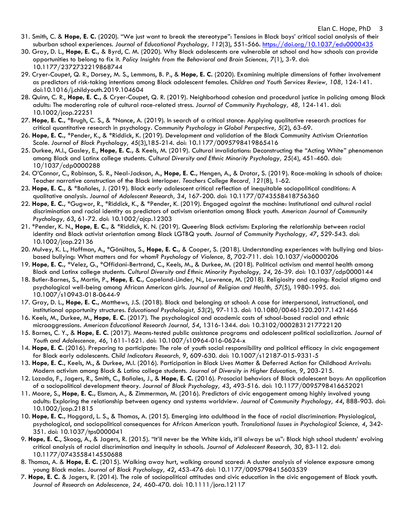- 31. Smith, C. & **Hope, E. C.** (2020). "We just want to break the stereotype": Tensions in Black boys' critical social analysis of their suburban school experiences. *Journal of Educational Psychology, 112*(3), 551-566. <https://doi.org/10.1037/edu0000435>
- 30. Gray, D. L., **Hope, E. C.,** & Byrd, C. M. (2020). Why Black adolescents are vulnerable at school and how schools can provide opportunities to belong to fix it. *Policy Insights from the Behavioral and Brain Sciences, 7*(1), 3-9. doi: 10.1177/2372732219868744
- 29. Cryer-Coupet, Q. R., Dorsey, M. S., Lemmons, B. P., & **Hope, E. C.** (2020). Examining multiple dimensions of father involvement as predictors of risk-taking intentions among Black adolescent females. *Children and Youth Services Review, 108,* 124-141. doi:10.1016/j.childyouth.2019.104604
- 28. Quinn, C. R., **Hope, E. C.,** & Cryer-Coupet, Q. R. (2019). Neighborhood cohesion and procedural justice in policing among Black adults: The moderating role of cultural race-related stress. *Journal of Community Psychology, 48,* 124-141. doi: 10.1002/jcop.22251
- 27. **Hope, E. C.,** \*Brugh, C. S., & \*Nance, A. (2019). In search of a critical stance: Applying qualitative research practices for critical quantitative research in psychology. *Community Psychology in Global Perspective, 5*(2), 63-69.
- 26. **Hope, E. C.,** \*Pender, K., & \*Riddick, K. (2019). Development and validation of the Black Community Activism Orientation Scale. *Journal of Black Psychology, 45*(3),185-214. doi: 10.1177/0095798419865416
- 25. Durkee, M.I., Gasley, E., **Hope, E. C.,** & Keels, M. (2019). Cultural invalidations: Deconstructing the "Acting White" phenomenon among Black and Latinx college students. *Cultural Diversity and Ethnic Minority Psychology, 25*(4), 451-460. doi: 10/1037/cdp0000288
- 24. O'Connor, C., Robinson, S. R., Neal-Jackson, A., **Hope, E. C.,** Hengen, A., & Drotar, S. (2019). Race-making in schools of choice: Teacher narrative construction of the Black interloper. *Teachers College Record, 121*(8), 1-62.
- 23. **Hope, E. C.,** & \*Bañales, J. (2019). Black early adolescent critical reflection of inequitable sociopolitical conditions: A qualitative analysis. *Journal of Adolescent Research, 34*, 167-200. doi: 10.1177/0743558418756360
- 22. **Hope, E. C.,** \*Gugwor, R., \*Riddick, K., & \*Pender, K. (2019). Engaged against the machine: Institutional and cultural racial discrimination and racial identity as predictors of activism orientation among Black youth. *American Journal of Community Psychology, 63*, 61-72. doi: 10.1002/ajcp.12303
- 21. \*Pender, K. N., **Hope, E. C.,** & \*Riddick, K. N. (2019). Queering Black activism: Exploring the relationship between racial identity and Black activist orientation among Black LGTBQ youth. *Journal of Community Psychology, 47*, 529-543. doi: 10.1002/jcop.22136
- 20. Mulvey, K. L., Hoffman, A., \*Gönültas, S., **Hope, E. C.,** & Cooper, S. (2018). Understanding experiences with bullying and biasbased bullying: What matters and for whom? *Psychology of Violence, 8*, 702-711. doi: 10.1037/vio0000206
- 19. **Hope, E. C.,** \*Velez, G., \*Offidani-Bertrand, C., Keels, M., & Durkee, M. (2018). Political activism and mental health among Black and Latinx college students. *Cultural Diversity and Ethnic Minority Psychology, 24*, 26-39. doi: 10.1037/cdp0000144
- 18. Butler-Barnes, S., Martin, P., **Hope, E. C.,** Copeland-Linder, N., Lawrence, M. (2018). Religiosity and coping: Racial stigma and psychological well-being among African American girls. *Journal of Religion and Health, 57*(5), 1980-1995. doi: 10.1007/s10943-018-0644-9
- 17. Gray, D. L., **Hope, E. C.,** Matthews, J.S. (2018). Black and belonging at school: A case for interpersonal, instructional, and institutional opportunity structures. *Educational Psychologist, 53*(2), 97-113. doi: 10.1080/00461520.2017.1421466
- 16. Keels, M., Durkee, M., **Hope, E. C.** (2017). The psychological and academic costs of school-based racial and ethnic microaggressions. *American Educational Research Journal, 54*, 1316-1344. doi: 10.3102/0002831217722120
- 15. Barnes, C. Y., & **Hope, E. C.** (2017). Means-tested public assistance programs and adolescent political socialization. *Journal of Youth and Adolescence, 46*, 1611-1621. doi: 10.1007/s10964-016-0624-x
- 14. **Hope, E. C.** (2016). Preparing to participate: The role of youth social responsibility and political efficacy in civic engagement for Black early adolescents. *Child Indicators Research, 9*, 609-630. doi: 10.1007/s12187-015-9331-5
- 13. **Hope, E. C.,** Keels, M., & Durkee, M.I. (2016). Participation in Black Lives Matter & Deferred Action for Childhood Arrivals: Modern activism among Black & Latino college students. *Journal of Diversity in Higher Education, 9*, 203-215.
- 12. Lozada, F., Jagers, R., Smith, C., Bañales, J., & **Hope, E. C.** (2016). Prosocial behaviors of Black adolescent boys: An application of a sociopolitical development theory. *Journal of Black Psychology, 43*, 493-516*.* doi: 10.1177/0095798416652021
- 11. Moore, S., **Hope, E. C.,** Eisman, A., & Zimmerman, M. (2016). Predictors of civic engagement among highly involved young adults: Exploring the relationship between agency and systems worldview. *Journal of Community Psychology, 44*, 888-903. doi: 10.1002/jcop.21815
- 10. **Hope, E. C.,** Hoggard, L. S., & Thomas, A. (2015). Emerging into adulthood in the face of racial discrimination: Physiological, psychological, and sociopolitical consequences for African American youth. *Translational Issues in Psychological Science, 4*, 342- 351. doi: 10.1037/tps0000041
- 9. **Hope, E. C.**, Skoog, A., & Jagers, R. (2015). "It'll never be the White kids, it'll always be us": Black high school students' evolving critical analysis of racial discrimination and inequity in schools. *Journal of Adolescent Research, 30*, 83-112. doi: 10.1177/0743558414550688
- 8. Thomas, A. & **Hope, E. C.** (2015). Walking away hurt, walking around scared: A cluster analysis of violence exposure among young Black males. *Journal of Black Psychology, 42*, 453-476 doi: 10.1177/0095798415603539
- 7. **Hope, E. C.** & Jagers, R. (2014). The role of sociopolitical attitudes and civic education in the civic engagement of Black youth. *Journal of Research on Adolescence, 24,* 460-470. doi: 10.1111/jora.12117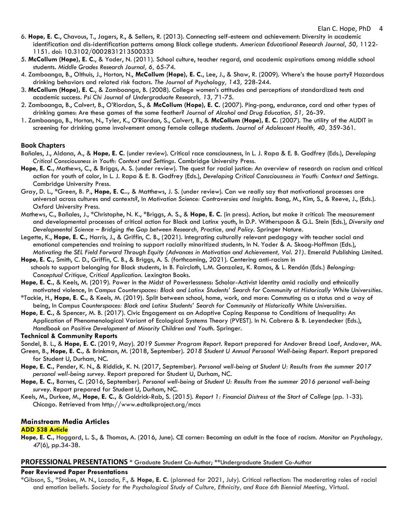- 6. **Hope, E. C.**, Chavous, T., Jagers, R., & Sellers, R. (2013). Connecting self-esteem and achievement: Diversity in academic identification and dis-identification patterns among Black college students. *American Educational Research Journal, 50,* 1122- 1151. doi: 10.3102/0002831213500333
- 5. **McCollum (Hope), E. C.**, & Yoder, N. (2011). School culture, teacher regard, and academic aspirations among middle school students. *Middle Grades Research Journal, 6,* 65-74.
- 4. Zamboanga, B., Olthuis, J., Horton, N., **McCollum (Hope), E. C.**, Lee, J., & Shaw, R. (2009). Where's the house party? Hazardous drinking behaviors and related risk factors. *The Journal of Psychology, 143,* 228-244.
- 3. **McCollum (Hope), E. C.**, & Zamboanga, B. (2008). College women's attitudes and perceptions of standardized tests and academic success. *Psi Chi Journal of Undergraduate Research, 13,* 71-75.
- 2. Zamboanga, B., Calvert, B., O'Riordan, S., & **McCollum (Hope), E. C.** (2007). Ping-pong, endurance, card and other types of drinking games: Are these games of the same feather? *Journal of Alcohol and Drug Education, 51,* 26-39.
- 1. Zamboanga, B., Horton, N., Tyler, K., O'Riordan, S., Calvert, B., & **McCollum (Hope), E. C.** (2007). The utility of the AUDIT in screening for drinking game involvement among female college students. *Journal of Adolescent Health, 40,* 359-361.

#### **Book Chapters**

- Bañales, J., Aldana, A., & **Hope, E. C.** (under review). Critical race consciousness, In L. J. Rapa & E. B. Godfrey (Eds.), *Developing Critical Consciousness in Youth: Context and Settings.* Cambridge University Press.
- **Hope, E. C.,** Mathews, C., & Briggs, A. S. (under review). The quest for racial justice: An overview of research on racism and critical action for youth of color, In L. J. Rapa & E. B. Godfrey (Eds.), *Developing Critical Consciousness in Youth: Context and Settings.*  Cambridge University Press.
- Gray, D. L., \*Green, B. P., **Hope, E. C..,** & Matthews, J. S. (under review). Can we really say that motivational processes are universal across cultures and contexts?, In *Motivation Science: Controversies and Insights.* Bong, M., Kim, S., & Reeve, J., (Eds.). Oxford University Press.
- Mathews, C., Bañales, J., \*Christophe, N. K., \*Briggs, A. S., & **Hope, E. C.** (in press). Action, but make it critical: The measurement and developmental processes of critical action for Black and Latinx youth, In D.P. Witherspoon & G.L. Stein (Eds.), *Diversity and Developmental Science – Bridging the Gap between Research, Practice, and Policy.* Springer Nature.
- Legette, K., **Hope, E. C.,** Harris, J., & Griffin, C. B., (2021). Integrating culturally relevant pedagogy with teacher social and emotional competencies and training to support racially minoritized students, In N. Yoder & A. Skoog-Hoffman (Eds.), *Motivating the SEL Field Forward Through Equity (Advances in Motivation and Achievement, Vol. 21)*. Emerald Publishing Limited.
- **Hope, E. C.,** Smith, C. D., Griffin, C. B., & Briggs, A. S. (forthcoming, 2021). Centering anti-racism in schools to support belonging for Black students, In B. Faircloth, L.M. Gonzalez, K. Ramos, & L. Rendón (Eds.) *Belonging: Conceptual Critique, Critical Application.* Lexington Books.
- **Hope, E. C.,** & Keels, M. (2019). Power in the Midst of Powerlessness: Scholar-Activist Identity amid racially and ethnically motivated violence, In *Campus Counterspaces: Black and Latinx Students' Search for Community at Historically White Universities*.
- \*Tackie, H., **Hope, E. C.,** & Keels, M. (2019). Split between school, home, work, and more: Commuting as a status and a way of being, In *Campus Counterspaces: Black and Latinx Students' Search for Community at Historically White Universities*.
- **Hope, E. C.,** & Spencer, M. B. (2017). Civic Engagement as an Adaptive Coping Response to Conditions of Inequality: An Application of Phenomenological Variant of Ecological Systems Theory (PVEST). In N. Cabrera & B. Leyendecker (Eds.), *Handbook on Positive Development of Minority Children and Youth*. Springer.

#### **Technical & Community Reports**

- Sondel, B. L., & **Hope, E. C.** (2019, May). *2019 Summer Program Report.* Report prepared for Andover Bread Loaf, Andover, MA.
- Green, B., **Hope, E. C.,** & Brinkman, M. (2018, September). *2018 Student U Annual Personal Well-being Report.* Report prepared for Student U, Durham, NC.
- **Hope, E. C.,** Pender, K. N., & Riddick, K. N. (2017, September). *Personal well-being at Student U: Results from the summer 2017 personal well-being survey.* Report prepared for Student U, Durham, NC.
- **Hope, E. C.,** Barnes, C. (2016, September). *Personal well-being at Student U: Results from the summer 2016 personal well-being survey.* Report prepared for Student U, Durham, NC.
- Keels, M., Durkee, M., **Hope, E. C.,** & Goldrick-Rab, S. (2015). *Report 1: Financial Distress at the Start of College* (pp. 1-33). Chicago. Retrieved from http://www.edtalkproject.org/mccs

#### **Mainstream Media Articles**

#### **ADD 538 Article**

**Hope, E. C.,** Hoggard, L. S., & Thomas, A. (2016, June). CE corner: Becoming an adult in the face of racism. *Monitor on Psychology, 47*(6), pp.34-38.

#### **PROFESSIONAL PRESENTATIONS** \* Graduate Student Co-Author; \*\*Undergraduate Student Co-Author

#### **Peer Reviewed Paper Presentations**

\*Gibson, S., \*Stokes, M. N., Lozada, F., & **Hope, E. C.** (planned for 2021, July). Critical reflection: The moderating roles of racial and emotion beliefs. *Society for the Psychological Study of Culture, Ethnicity, and Race 6th Biennial Meeting,* Virtual.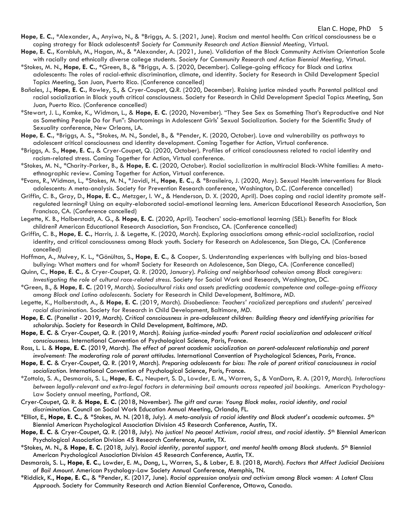- **Hope, E. C., \***Alexander, A., Anyiwo, N., & \*Briggs, A. S. (2021, June). Racism and mental health: Can critical consciousness be a coping strategy for Black adolescents? *Society for Community Research and Action Biennial Meeting,* Virtual.
- **Hope, E. C.,** Kornbluh, M., Hagan, M., & \*Alexander, A. (2021, June). Validation of the Black Community Activism Orientation Scale with racially and ethnically diverse college students. *Society for Community Research and Action Biennial Meeting,* Virtual.
- \*Stokes, M. N., **Hope, E. C., \***Green, B., & \*Briggs, A. S. (2020, December). College-going efficacy for Black and Latinx adolescents: The roles of racial-ethnic discrimination, climate, and identity. Society for Research in Child Development Special Topics Meeting, San Juan, Puerto Rico. (Conference cancelled)
- Bañales, J., **Hope, E. C.,** Rowley, S., & Cryer-Coupet, Q.R. (2020, December). Raising justice minded youth: Parental political and racial socialization in Black youth critical consciousness. Society for Research in Child Development Special Topics Meeting, San Juan, Puerto Rico. (Conference cancelled)
- \*Stewart, J. L., Kamke, K., Widman, L., & **Hope, E. C.** (2020, November). "They See Sex as Something That's Reproductive and Not as Something People Do for Fun": Shortcomings in Adolescent Girls' Sexual Socialization. Society for the Scientific Study of Sexuality conference, New Orleans, LA.
- **Hope, E. C., \***Briggs, A. S., \*Stokes, M. N., Sondel, B., & \*Pender, K. (2020, October). Love and vulnerability as pathways to adolescent critical consciousness and identity development. Coming Together for Action, Virtual conference.
- \*Briggs, A. S., **Hope, E. C.,** & Cryer-Coupet, Q. (2020, October). Profiles of critical consciousness related to racial identity and racism-related stress. Coming Together for Action, Virtual conference.
- \*Stokes, M. N., \*Charity-Parker, B., & **Hope, E. C.** (2020, October). Racial socialization in multiracial Black-White families: A metaethnographic review. Coming Together for Action, Virtual conference.
- \*Evans, R., Widman, L., \*Stokes, M. N., \*Javidi, H., **Hope, E. C.,** & \*Brasileiro, J. (2020, May). Sexual Health interventions for Black adolescents: A meta-analysis. Society for Prevention Research conference, Washington, D.C. (Conference cancelled)
- Griffin, C. B., Gray, D., **Hope, E. C.,** Metzger, I. W., & Henderson, D. X. (2020, April). Does coping and racial identity promote selfregulated learning? Using an equity-elaborated social-emotional learning lens. American Educational Research Association, San Francisco, CA. (Conference cancelled)
- Legette, K. B., Halberstadt, A. G., & **Hope, E. C.** (2020, April). Teachers' socio-emotional learning (SEL): Benefits for Black children? American Educational Research Association, San Francisco, CA. (Conference cancelled)
- Griffin, C. B., **Hope, E. C.,** Harris, J. & Legette, K. (2020, March). Exploring associations among ethnic-racial socialization, racial identity, and critical consciousness among Black youth. Society for Research on Adolescence, San Diego, CA. (Conference cancelled)
- Hoffman, A., Mulvey, K. L., \*Gönültas, S., **Hope, E. C.,** & Cooper, S. Understanding experiences with bullying and bias-based bullying: What matters and for whom? Society for Research on Adolescence, San Diego, CA. (Conference cancelled)
- Quinn, C., **Hope, E. C.,** & Cryer-Coupet, Q. R. (2020, January). *Policing and neighborhood cohesion among Black caregivers: Investigating the role of cultural race-related stress.* Society for Social Work and Research, Washington, DC.
- \*Green, B., & **Hope, E. C.** (2019, March). *Sociocultural risks and assets predicting academic competence and college-going efficacy among Black and Latino adolescents.* Society for Research in Child Development, Baltimore, MD.
- Legette, K., Halberstadt, A., & **Hope, E. C.** (2019, March). *Disobedience: Teachers' racialized perceptions and students' perceived racial discrimination.* Society for Research in Child Development, Baltimore, MD.
- **Hope, E. C.** (Panelist 2019, March). *Critical consciousness in pre-adolescent children: Building theory and identifying priorities for scholarship.* Society for Research in Child Development, Baltimore, MD.
- **Hope, E. C.** & Cryer-Coupet, Q. R. (2019, March). *Raising justice-minded youth: Parent racial socialization and adolescent critical consciousness.* International Convention of Psychological Science, Paris, France.
- Ross, L. L. & **Hope, E. C.** (2019, March). *The effect of parent academic socialization on parent-adolescent relationship and parent involvement: The moderating role of parent attitudes.* International Convention of Psychological Sciences, Paris, France.
- **Hope, E. C.** & Cryer-Coupet, Q. R. (2019, March). *Preparing adolescents for bias: The role of parent critical consciousness in racial socialization.* International Convention of Psychological Science, Paris, France.
- \*Zottola, S. A., Desmarais, S. L., **Hope, E. C.,** Neupert, S. D., Lowder, E. M., Warren, S., & VanDorn, R. A. (2019, March). *Interactions between legally-relevant and extra-legal factors in determining bail amounts across repeated jail bookings.* American Psychology‐ Law Society annual meeting, Portland, OR.
- Cryer-Coupet, Q. R. & **Hope, E. C.** (2018, November). *The gift and curse: Young Black males, racial identity, and racial discrimination.* Council on Social Work Education Annual Meeting, Orlando, FL.
- \*Elliot, E., **Hope, E. C.,** & \*Stokes, M. N. (2018, July). *A meta-analysis of racial identity and Black student's academic outcomes.* 5th Biennial American Psychological Association Division 45 Research Conference, Austin, TX.
- **Hope, E. C.** & Cryer-Coupet, Q. R. (2018, July). *No justice! No peace! Activism, racial stress, and racial identity.* 5th Biennial American Psychological Association Division 45 Research Conference, Austin, TX.
- \*Stokes, M. N., & **Hope, E. C.** (2018, July). *Racial identity, parental support, and mental health among Black students.* 5th Biennial American Psychological Association Division 45 Research Conference, Austin, TX.
- Desmarais, S. L., **Hope, E. C.,** Lowder, E. M., Dong, L., Warren, S., & Laber, E. B. (2018, March). *Factors that Affect Judicial Decisions of Bail Amount.* American Psychology-Law Society Annual Conference, Memphis, TN.
- \*Riddick, K., **Hope, E. C.,** & \*Pender, K. (2017, June). *Racial oppression analysis and activism among Black women: A Latent Class Approach.* Society for Community Research and Action Biennial Conference, Ottawa, Canada.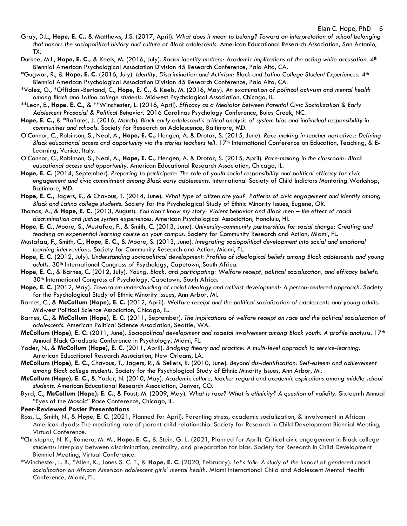- Gray, D.L., **Hope, E. C.,** & Matthews, J.S. (2017, April). *What does it mean to belong? Toward an interpretation of school belonging that honors the sociopolitical history and culture of Black adolescents. American Educational Research Association, San Antonio,* TX.
- Durkee, M.I., **Hope, E. C.,** & Keels, M. (2016, July). *Racial identity matters: Academic implications of the acting white accusation.* 4th Biennial American Psychological Association Division 45 Research Conference, Palo Alto, CA.
- \*Gugwor, R., & **Hope, E. C.** (2016, July). *Identity, Discrimination and Activism: Black and Latino College Student Experiences.* 4th Biennial American Psychological Association Division 45 Research Conference, Palo Alto, CA.
- \*Valez, G., \*Offidani-Bertand, C., **Hope, E. C.,** & Keels, M. (2016, May). *An examination of political activism and mental health among Black and Latino college students.* Midwest Psychological Association, Chicago, IL.
- \*\*Leon, E., **Hope, E. C.,** & \*\*Winchester, L. (2016, April). *Efficacy as a Mediator between Parental Civic Socialization & Early Adolescent Prosocial & Political Behavior.* 2016 Carolinas Psychology Conference, Buies Creek, NC.
- **Hope, E. C.,** & \*Bañales, J. (2016, March). *Black early adolescent's critical analysis of system bias and individual responsibility in communities and schools.* Society for Research on Adolescence, Baltimore, MD.
- O'Connor, C., Robinson, S., Neal, A., **Hope, E. C.,** Hengen, A. & Drotar, S. (2015, June). *Race-making in teacher narratives: Defining Black educational access and opportunity via the stories teachers tell.* 17<sup>th</sup> International Conference on Education, Teaching, & E-Learning, Venice, Italy.
- O'Connor, C., Robinson, S., Neal, A., **Hope, E. C.,** Hengen, A. & Drotar, S. (2015, April). *Race-making in the classroom: Black educational access and opportunity.* American Educational Research Association, Chicago, IL.
- **Hope, E. C.** (2014, September). *Preparing to participate: The role of youth social responsibility and political efficacy for civic engagement and civic commitment among Black early adolescents.* International Society of Child Indictors Mentoring Workshop, Baltimore, MD.
- **Hope, E. C.,** Jagers, R., & Chavous, T. (2014, June). *What type of citizen are you? Patterns of civic engagement and identity among Black and Latino college students.* Society for the Psychological Study of Ethnic Minority Issues, Eugene, OR.
- Thomas, A., & **Hope, E. C.** (2013, August). *You don't know my story: Violent behavior and Black men – the effect of racial discrimination and justice system experiences.* American Psychological Association, Honolulu, HI.
- **Hope, E. C.**, Moore, S., Mustafaa, F., & Smith, C. (2013, June). *University-community partnerships for social change: Creating and teaching an experiential learning course on your campus.* Society for Community Research and Action, Miami, FL.
- Mustafaa, F., Smith, C., **Hope, E. C.**, & Moore, S. (2013, June). *Integrating sociopolitical development into social and emotional learning interventions.* Society for Community Research and Action, Miami, FL.
- **Hope, E. C.** (2012, July). *Understanding sociopolitical development: Profiles of ideological beliefs among Black adolescents and young adults.* 30th International Congress of Psychology, Capetown, South Africa.
- **Hope, E. C.**, & Barnes, C. (2012, July). *Young, Black, and participating: Welfare receipt, political socialization, and efficacy beliefs.*  30th International Congress of Psychology, Capetown, South Africa.
- **Hope, E. C.** (2012, May). *Toward an understanding of racial ideology and activist development: A person-centered approach.* Society for the Psychological Study of Ethnic Minority Issues, Ann Arbor, MI.
- Barnes, C., & **McCollum (Hope), E. C.** (2012, April). *Welfare receipt and the political socialization of adolescents and young adults.*  Midwest Political Science Association, Chicago, IL.
- Barnes, C., & **McCollum (Hope), E. C.** (2011, September). *The implications of welfare receipt on race and the political socialization of adolescents.* American Political Science Association, Seattle, WA.
- **McCollum (Hope), E. C.** (2011, June). Sociopolitical development and societal involvement among Black youth: A profile analysis. 17<sup>th</sup> Annual Black Graduate Conference in Psychology, Miami, FL.
- Yoder, N., & **McCollum (Hope), E. C.** (2011, April). *Bridging theory and practice: A multi-level approach to service-learning.*  American Educational Research Association, New Orleans, LA.
- **McCollum (Hope), E. C.**, Chavous, T., Jagers, R., & Sellers, R. (2010, June). *Beyond dis-identification: Self-esteem and achievement among Black college students.* Society for the Psychological Study of Ethnic Minority Issues, Ann Arbor, MI.
- **McCollum (Hope), E. C.**, & Yoder, N. (2010, May). *Academic culture, teacher regard and academic aspirations among middle school students.* American Educational Research Association, Denver, CO.
- Byrd, C., **McCollum (Hope), E. C.**, & Foust, M. (2009, May). *What is race? What is ethnicity? A question of validity.* Sixteenth Annual "Eyes of the Mosaic" Race Conference, Chicago, IL.

#### **Peer-Reviewed Poster Presentations**

- Ross, L., Smith, N., & **Hope, E. C.** (2021, Planned for April). Parenting stress, academic socialization, & involvement in African American dyads: The mediating role of parent-child relationship. Society for Research in Child Development Biennial Meeting, Virtual Conference.
- \*Christophe, N. K., Romero, M. M., **Hope, E. C.,** & Stein, G. L. (2021, Planned for April). Critical civic engagement in Black college students: Interplay between discrimination, centrality, and preparation for bias. Society for Research in Child Development Biennial Meeting, Virtual Conference.
- \*Winchester, L. B., \*Allen, K., Jones S. C. T., & **Hope, E. C.** (2020, February). *Let's talk: A study of the impact of gendered racial socialization on African American adolescent girls' mental health.* Miami International Child and Adolescent Mental Health Conference, Miami, FL.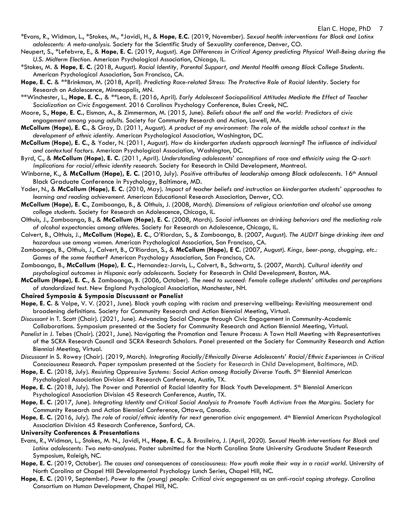- \*Evans, R., Widman, L., \*Stokes, M., \*Javidi, H., & **Hope, E.C.** (2019, November). *Sexual health interventions for Black and Latinx adolescents: A meta-analysis.* Society for the Scientific Study of Sexuality conference, Denver, CO.
- Neupert, S., \*Lefebvre, E., & **Hope, E. C.** (2019, August). *Age Differences in Critical Agency predicting Physical Well-Being during the U.S. Midterm Election.* American Psychological Association, Chicago, IL.
- \*Stokes, M. & **Hope, E. C.** (2018, August). *Racial Identity, Parental Support, and Mental Health among Black College Students.*  American Psychological Association, San Francisco, CA.
- **Hope, E. C.** & \*\*Brinkman, M. (2018, April). *Predicting Race-related Stress: The Protective Role of Racial Identity*. Society for Research on Adolescence, Minneapolis, MN.
- \*\*Winchester, L., **Hope, E. C.,** & \*\*Leon, E. (2016, April). *Early Adolescent Sociopolitical Attitudes Mediate the Effect of Teacher Socialization on Civic Engagement.* 2016 Carolinas Psychology Conference, Buies Creek, NC.
- Moore, S., **Hope, E. C.,** Eisman, A., & Zimmerman, M. (2015, June). *Beliefs about the self and the world: Predictors of civic engagement among young adults.* Society for Community Research and Action, Lowell, MA.
- **McCollum (Hope), E. C.**, & Gray, D. (2011, August). *A product of my environment: The role of the middle school context in the development of ethnic identity.* American Psychological Association, Washington, DC.
- **McCollum (Hope), E. C.**, & Yoder, N. (2011, August). *How do kindergarten students approach learning? The influence of individual and contextual factors.* American Psychological Association, Washington, DC.
- Byrd, C., & **McCollum (Hope), E. C.** (2011, April). *Understanding adolescents' conceptions of race and ethnicity using the Q-sort: Implications for racial/ethnic identity research.* Society for Research in Child Development, Montreal.
- Winborne, K., & McCollum (Hope), E. C. (2010, July). Positive attributes of leadership among Black adolescents. 16<sup>th</sup> Annual Black Graduate Conference in Psychology, Baltimore, MD.
- Yoder, N., & **McCollum (Hope), E. C.** (2010, May). *Impact of teacher beliefs and instruction on kindergarten students' approaches to learning and reading achievement.* American Educational Research Association, Denver, CO.
- **McCollum (Hope), E. C.**, Zamboanga, B., & Olthuis, J. (2008, March). *Dimensions of religious orientation and alcohol use among college students.* Society for Research on Adolescence, Chicago, IL.
- Olthuis, J., Zamboanga, B., & **McCollum (Hope), E. C.** (2008, March). *Social influences on drinking behaviors and the mediating role of alcohol expectancies among athletes.* Society for Research on Adolescence, Chicago, IL.
- Calvert, B., Olthuis, J., **McCollum (Hope), E. C.**, O'Riordan, S., & Zamboanga, B. (2007, August). *The AUDIT binge drinking item and hazardous use among women.* American Psychological Association, San Francisco, CA.
- Zamboanga, B., Olthuis, J., Calvert, B., O'Riordan, S., & **McCollum (Hope), E C.** (2007, August). *Kings, beer-pong, chugging, etc.: Games of the same feather?* American Psychology Association, San Francisco, CA.
- Zamboanga, B., **McCollum (Hope), E. C.**, Hernandez-Jarvis, L., Calvert, B., Schwartz, S. (2007, March). *Cultural identity and psychological outcomes in Hispanic early adolescents.* Society for Research in Child Development, Boston, MA.
- **McCollum (Hope), E. C.**, & Zamboanga, B. (2006, October). *The need to succeed: Female college students' attitudes and perceptions of standardized test.* New England Psychological Association, Manchester, NH.

#### **Chaired Symposia & Symposia Discussant or Panelist**

- **Hope, E. C.** & Volpe, V. V. (2021, June). Black youth coping with racism and preserving wellbeing: Revisiting measurement and broadening definitions. Society for Community Research and Action Biennial Meeting, Virtual.
- *Discussant* in T. Scott (Chair). (2021, June). Advancing Social Change through Civic Engagement in Community-Academic Collaborations. Symposium presented at the Society for Community Research and Action Biennial Meeting, Virtual.
- Panelist in J. Tebes (Chair). (2021, June). Navigating the Promotion and Tenure Process: A Town Hall Meeting with Representatives of the SCRA Research Council and SCRA Research Scholars. Panel presented at the Society for Community Research and Action Biennial Meeting, Virtual.
- *Discussant* in S. Rowey (Chair). (2019, March). *Integrating Racially/Ethnically Diverse Adolescents' Racial/Ethnic Experiences in Critical Consciousness Research.* Paper symposium presented at the Society for Research in Child Development, Baltimore, MD.
- Hope, E. C. (2018, July). *Resisting Oppressive Systems: Social Action among Racially Diverse Youth. 5<sup>th</sup> Biennial American* Psychological Association Division 45 Research Conference, Austin, TX.
- Hope, E. C. (2018, July). The Power and Potential of Racial Identity for Black Youth Development. 5<sup>th</sup> Biennial American Psychological Association Division 45 Research Conference, Austin, TX.
- **Hope, E. C.** (2017, June). *Integrating Identity and Critical Social Analysis to Promote Youth Activism from the Margins.* Society for Community Research and Action Biennial Conference, Ottawa, Canada.
- Hope, E. C. (2016, July). *The role of racial/ethnic identity for next generation civic engagement.* 4<sup>th</sup> Biennial American Psychological Association Division 45 Research Conference, Sanford, CA.

#### **University Conferences & Presentations**

- Evans, R., Widman, L., Stokes, M. N., Javidi, H., **Hope, E. C.,** & Brasileiro, J. (April, 2020). *Sexual Health interventions for Black and Latinx adolescents: Two meta-analyses.* Poster submitted for the North Carolina State University Graduate Student Research Symposium, Raleigh, NC.
- **Hope, E. C.** (2019, October). *The causes and consequences of consciousness: How youth make their way in a racist world.* University of North Carolina at Chapel Hill Developmental Psychology Lunch Series, Chapel Hill, NC.
- **Hope, E. C.** (2019, September). *Power to the (young) people: Critical civic engagement as an anti-racist coping strategy.* Carolina Consortium on Human Development, Chapel Hill, NC.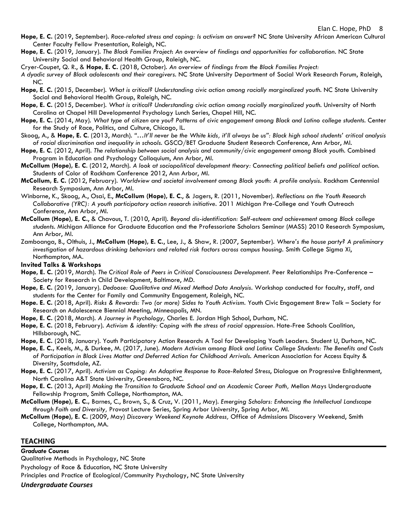- **Hope, E. C.** (2019, September). *Race-related stress and coping: Is activism an answer?* NC State University African American Cultural Center Faculty Fellow Presentation, Raleigh, NC.
- **Hope, E. C.** (2019, January). *The Black Families Project*: *An overview of findings and opportunities for collaboration.* NC State University Social and Behavioral Health Group, Raleigh, NC.
- Cryer-Coupet, Q. R., & **Hope, E. C.** (2018, October). *An overview of findings from the Black Families Project:*
- *A dyadic survey of Black adolescents and their caregivers.* NC State University Department of Social Work Research Forum, Raleigh, NC.
- **Hope, E. C.** (2015, December). *What is critical? Understanding civic action among racially marginalized youth.* NC State University Social and Behavioral Health Group, Raleigh, NC.
- **Hope, E. C.** (2015, December). *What is critical? Understanding civic action among racially marginalized youth.* University of North Carolina at Chapel Hill Developmental Psychology Lunch Series, Chapel Hill, NC.
- **Hope, E. C.** (2014, May). *What type of citizen are you? Patterns of civic engagement among Black and Latino college students.* Center for the Study of Race, Politics, and Culture, Chicago, IL.
- Skoog, A., & **Hope, E. C**. (2013, March). *"…It'll never be the White kids, it'll always be us": Black high school students' critical analysis of racial discrimination and inequality in schools.* GSCO/BET Graduate Student Research Conference, Ann Arbor, MI.
- **Hope, E. C**. (2012, April). *The relationship between social analysis and community/civic engagement among Black youth.* Combined Program in Education and Psychology Colloquium, Ann Arbor, MI.
- **McCollum (Hope), E. C**. (2012, March). *A look at sociopolitical development theory: Connecting political beliefs and political action.*  Students of Color of Rackham Conference 2012, Ann Arbor, MI.
- **McCollum, E. C.** (2012, February). *Worldview and societal involvement among Black youth: A profile analysis.* Rackham Centennial Research Symposium, Ann Arbor, MI.
- Winborne, K., Skoog, A., Osai, E., **McCollum (Hope), E. C**., & Jagers, R. (2011, November). *Reflections on the Youth Research Collaborative (YRC): A youth participatory action research initiative.* 2011 Michigan Pre-College and Youth Outreach Conference, Ann Arbor, MI.
- **McCollum (Hope), E. C.**, & Chavous, T. (2010, April). *Beyond dis-identification: Self-esteem and achievement among Black college students.* Michigan Alliance for Graduate Education and the Professoriate Scholars Seminar (MASS) 2010 Research Symposium, Ann Arbor, MI.
- Zamboanga, B., Olthuis, J., **McCollum (Hope), E. C.**, Lee, J., & Shaw, R. (2007, September). *Where's the house party? A preliminary*  investigation of hazardous drinking behaviors and related risk factors across campus housing. Smith College Sigma Xi, Northampton, MA.

#### **Invited Talks & Workshops**

- **Hope, E. C.** (2019, March). *The Critical Role of Peers in Critical Consciousness Development.* Peer Relationships Pre-Conference Society for Research in Child Development, Baltimore, MD.
- **Hope, E. C.** (2019, January). *Dedoose: Qualitative and Mixed Method Data Analysis.* Workshop conducted for faculty, staff, and students for the Center for Family and Community Engagement, Raleigh, NC.
- **Hope. E. C.** (2018, April). *Risks & Rewards: Two (or more) Sides to Youth Activism.* Youth Civic Engagement Brew Talk Society for Research on Adolescence Biennial Meeting, Minneapolis, MN.
- **Hope, E. C.** (2018, March). *A Journey in Psychology,* Charles E. Jordan High School, Durham, NC.
- **Hope, E. C.** (2018, February). *Activism & identity: Coping with the stress of racial oppression*. Hate-Free Schools Coalition, Hillsborough, NC.
- **Hope, E. C.** (2018, January). Youth Participatory Action Research: A Tool for Developing Youth Leaders. Student U, Durham, NC.
- **Hope, E. C.,** Keels, M., & Durkee, M. (2017, June). *Modern Activism among Black and Latinx College Students: The Benefits and Costs of Participation in Black Lives Matter and Deferred Action for Childhood Arrivals.* American Association for Access Equity & Diversity, Scottsdale, AZ.
- **Hope, E. C.** (2017, April). *Activism as Coping: An Adaptive Response to Race-Related Stress*, Dialogue on Progressive Enlightenment, North Carolina A&T State University, Greensboro, NC.
- **Hope, E. C.** (2013, April) *Making the Transition to Graduate School and an Academic Career Path,* Mellon Mays Undergraduate Fellowship Program, Smith College, Northampton, MA.
- **McCollum (Hope), E. C.,** Barnes, C., Brown, S., & Cruz, V. (2011, May). *Emerging Scholars: Enhancing the Intellectual Landscape through Faith and Diversity,* Provost Lecture Series, Spring Arbor University, Spring Arbor, MI.
- **McCollum (Hope), E. C.** (2009, May) *Discovery Weekend Keynote Address,* Office of Admissions Discovery Weekend, Smith College, Northampton, MA.

#### **TEACHING**

*Graduate Courses* Qualitative Methods in Psychology, NC State Psychology of Race & Education, NC State University Principles and Practice of Ecological/Community Psychology, NC State University *Undergraduate Courses*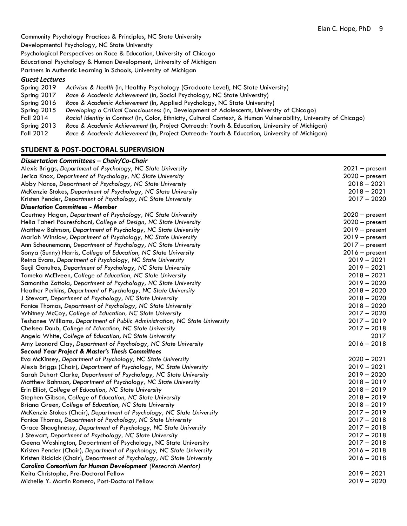Community Psychology Practices & Principles, NC State University Developmental Psychology, NC State University Psychological Perspectives on Race & Education, University of Chicago Educational Psychology & Human Development, University of Michigan Partners in Authentic Learning in Schools, University of Michigan

#### *Guest Lectures*

| Spring 2019 | Activism & Health (In, Healthy Psychology (Graduate Level), NC State University)                                  |
|-------------|-------------------------------------------------------------------------------------------------------------------|
| Spring 2017 | Race & Academic Achievement (In, Social Psychology, NC State University)                                          |
| Spring 2016 | Race & Academic Achievement (In, Applied Psychology, NC State University)                                         |
| Spring 2015 | Developing a Critical Consciousness (In, Development of Adolescents, University of Chicago)                       |
| Fall 2014   | Racial Identity in Context (In, Color, Ethnicity, Cultural Context, & Human Vulnerability, University of Chicago) |
| Spring 2013 | Race & Academic Achievement (In, Project Outreach: Youth & Education, University of Michigan)                     |
| Fall 2012   | Race & Academic Achievement (In, Project Outreach: Youth & Education, University of Michigan)                     |

### **STUDENT & POST-DOCTORAL SUPERVISION**

#### *Dissertation Committees – Chair/Co-Chair*

| Dissertation Committees – Chair/Co-Chair                                    |                  |
|-----------------------------------------------------------------------------|------------------|
| Alexis Briggs, Department of Psychology, NC State University                | $2021 - present$ |
| Jerica Knox, Department of Psychology, NC State University                  | $2020 - present$ |
| Abby Nance, Department of Psychology, NC State University                   | $2018 - 2021$    |
| McKenzie Stokes, Department of Psychology, NC State University              | $2018 - 2021$    |
| Kristen Pender, Department of Psychology, NC State University               | $2017 - 2020$    |
| <b>Dissertation Committees - Member</b>                                     |                  |
| Courtney Hagan, Department of Psychology, NC State University               | $2020 - present$ |
| Helia Taheri Pouresfahani, College of Design, NC State University           | $2020 - present$ |
| Matthew Bahnson, Department of Psychology, NC State University              | $2019 - present$ |
| Mariah Winslow, Department of Psychology, NC State University               | $2019 - present$ |
| Ann Scheunemann, Department of Psychology, NC State University              | $2017 - present$ |
| Sonya (Sunny) Harris, College of Education, NC State University             | $2016 - present$ |
| Reina Evans, Department of Psychology, NC State University                  | $2019 - 2021$    |
| Seçil Gonultas, Department of Psychology, NC State University               | $2019 - 2021$    |
| Tameka McElveen, College of Education, NC State University                  | $2018 - 2021$    |
| Samantha Zottola, Department of Psychology, NC State University             | $2019 - 2020$    |
| Heather Perkins, Department of Psychology, NC State University              | $2018 - 2020$    |
| J Stewart, Department of Psychology, NC State University                    | $2018 - 2020$    |
| Fanice Thomas, Department of Psychology, NC State University                | $2018 - 2020$    |
| Whitney McCoy, College of Education, NC State University                    | $2017 - 2020$    |
| Teshanee Williams, Department of Public Administration, NC State University | $2017 - 2019$    |
| Chelsea Doub, College of Education, NC State University                     | $2017 - 2018$    |
| Angela White, College of Education, NC State University                     | 2017             |
| Amy Leonard Clay, Department of Psychology, NC State University             | $2016 - 2018$    |
| <b>Second Year Project &amp; Master's Thesis Committees</b>                 |                  |
| Eva McKinsey, Department of Psychology, NC State University                 | $2020 - 2021$    |
| Alexis Briggs (Chair), Department of Psychology, NC State University        | $2019 - 2021$    |
| Sarah Duhart Clarke, Department of Psychology, NC State University          | $2019 - 2020$    |
| Matthew Bahnson, Department of Psychology, NC State University              | $2018 - 2019$    |
| Erin Elliot, College of Education, NC State University                      | $2018 - 2019$    |
| Stephen Gibson, College of Education, NC State University                   | $2018 - 2019$    |
| Briana Green, College of Education, NC State University                     | $2018 - 2019$    |
| McKenzie Stokes (Chair), Department of Psychology, NC State University      | $2017 - 2019$    |
| Fanice Thomas, Department of Psychology, NC State University                | $2017 - 2018$    |
| Grace Shaughnessy, Department of Psychology, NC State University            | $2017 - 2018$    |
| J Stewart, Department of Psychology, NC State University                    | $2017 - 2018$    |
| Geena Washington, Department of Psychology, NC State University             | $2017 - 2018$    |
| Kristen Pender (Chair), Department of Psychology, NC State University       | $2016 - 2018$    |
| Kristen Riddick (Chair), Department of Psychology, NC State University      | $2016 - 2018$    |
| <b>Carolina Consortium for Human Development</b> (Research Mentor)          |                  |
| Keita Christophe, Pre-Doctoral Fellow                                       | $2019 - 2021$    |
| Michelle Y. Martin Romero, Post-Doctoral Fellow                             | $2019 - 2020$    |
|                                                                             |                  |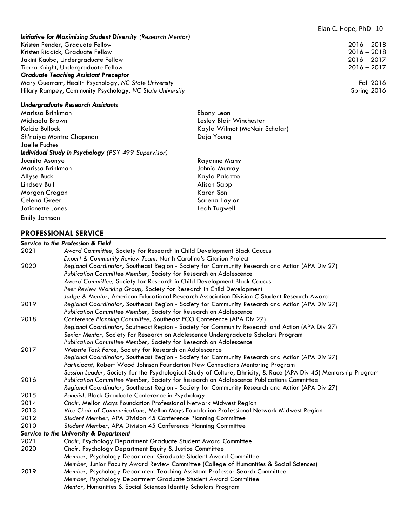#### *Initiative for Maximizing Student Diversity (Research Mentor)* Kristen Pender, Graduate Fellow 2016 – 2018 Kristen Riddick, Graduate Fellow 2016 – 2018 Jakini Kauba, Undergraduate Fellow 2016 – 2017 Tierra Knight, Undergraduate Fellow 2016 – 2017 *Graduate Teaching Assistant Preceptor*  Mary Guerrant, Health Psychology, *NC State University* Fall 2016 Hilary Rampey, Community Psychology, *NC State University* Spring 2016

#### *Undergraduate Research Assistants*

| Marissa Brinkman                                           |
|------------------------------------------------------------|
| Michaela Brown                                             |
| Kelcie Bullock                                             |
| Sh'naiya Montre Chapman                                    |
| Joelle Fuches                                              |
| <b>Individual Study in Psychology</b> (PSY 499 Supervisor) |
| Juanita Asonye                                             |
| Marissa Brinkman                                           |
| Allyse Buck                                                |
| Lindsey Bull                                               |
| Morgan Cregan                                              |
| Celena Greer                                               |
| Jotionette Jones                                           |
| Emily Johnson                                              |

#### **PROFESSIONAL SERVICE**

#### *Service to the Profession & Field* 2021 *Award Committee,* Society for Research in Child Development Black Caucus *Expert & Community Review Team,* North Carolina's Citation Project 2020 *Regional Coordinator,* Southeast Region - Society for Community Research and Action (APA Div 27) *Publication Committee Member,* Society for Research on Adolescence *Award Committee,* Society for Research in Child Development Black Caucus *Peer Review Working Group,* Society for Research in Child Development *Judge & Mentor,* American Educational Research Association Division C Student Research Award 2019 *Regional Coordinator,* Southeast Region - Society for Community Research and Action (APA Div 27) *Publication Committee Member,* Society for Research on Adolescence 2018 *Conference Planning Committee,* Southeast ECO Conference (APA Div 27) *Regional Coordinator*, Southeast Region - Society for Community Research and Action (APA Div 27) *Senior Mentor,* Society for Research on Adolescence Undergraduate Scholars Program *Publication Committee Member,* Society for Research on Adolescence 2017 *Website Task Force,* Society for Research on Adolescence *Regional Coordinator,* Southeast Region - Society for Community Research and Action (APA Div 27) *Participant,* Robert Wood Johnson Foundation New Connections Mentoring Program *Session Leader,* Society for the Psychological Study of Culture, Ethnicity, & Race (APA Div 45) Mentorship Program 2016 *Publication Committee Member,* Society for Research on Adolescence Publications Committee *Regional Coordinator,* Southeast Region - Society for Community Research and Action (APA Div 27) 2015 *Panelist,* Black Graduate Conference in Psychology 2014 *Chair,* Mellon Mays Foundation Professional Network Midwest Region 2013 *Vice Chair of Communications,* Mellon Mays Foundation Professional Network Midwest Region 2012 *Student Member,* APA Division 45 Conference Planning Committee 2010 *Student Member,* APA Division 45 Conference Planning Committee *Service to the University & Department* 2021 *Chair,* Psychology Department Graduate Student Award Committee 2020 *Chair,* Psychology Department Equity & Justice Committee *Member,* Psychology Department Graduate Student Award Committee *Member,* Junior Faculty Award Review Committee (College of Humanities & Social Sciences) 2019 *Member,* Psychology Department Teaching Assistant Professor Search Committee *Member,* Psychology Department Graduate Student Award Committee *Mentor,* Humanities & Social Sciences Identity Scholars Program

Ebony Leon Lesley Blair Winchester Kayla Wilmot (McNair Scholar) Deia Young

Rayanne Many Johnia Murray Kayla Palazzo Alison Sapp Karen Son Sarena Taylor Leah Tugwell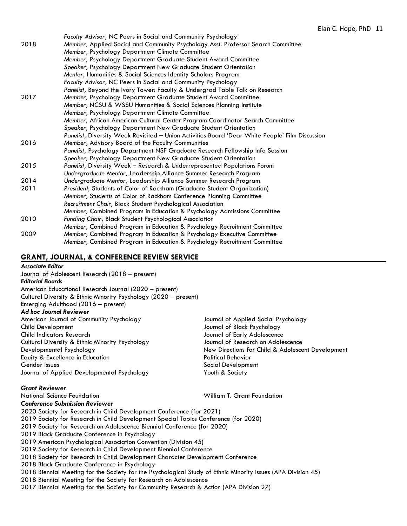|      | Faculty Advisor, NC Peers in Social and Community Psychology                                    |
|------|-------------------------------------------------------------------------------------------------|
| 2018 | Member, Applied Social and Community Psychology Asst. Professor Search Committee                |
|      | Member, Psychology Department Climate Committee                                                 |
|      | Member, Psychology Department Graduate Student Award Committee                                  |
|      | Speaker, Psychology Department New Graduate Student Orientation                                 |
|      | Mentor, Humanities & Social Sciences Identity Scholars Program                                  |
|      | Faculty Advisor, NC Peers in Social and Community Psychology                                    |
|      | Panelist, Beyond the Ivory Tower: Faculty & Undergrad Table Talk on Research                    |
| 2017 | Member, Psychology Department Graduate Student Award Committee                                  |
|      | Member, NCSU & WSSU Humanities & Social Sciences Planning Institute                             |
|      | Member, Psychology Department Climate Committee                                                 |
|      | Member, African American Cultural Center Program Coordinator Search Committee                   |
|      | Speaker, Psychology Department New Graduate Student Orientation                                 |
|      | Panelist, Diversity Week Revisited - Union Activities Board 'Dear White People' Film Discussion |
| 2016 | Member, Advisory Board of the Faculty Communities                                               |
|      | Panelist, Psychology Department NSF Graduate Research Fellowship Info Session                   |
|      | Speaker, Psychology Department New Graduate Student Orientation                                 |
| 2015 | Panelist, Diversity Week - Research & Underrepresented Populations Forum                        |
|      | Undergraduate Mentor, Leadership Alliance Summer Research Program                               |
| 2014 | Undergraduate Mentor, Leadership Alliance Summer Research Program                               |
| 2011 | President, Students of Color of Rackham (Graduate Student Organization)                         |
|      | Member, Students of Color of Rackham Conference Planning Committee                              |
|      | Recruitment Chair, Black Student Psychological Association                                      |
|      | Member, Combined Program in Education & Psychology Admissions Committee                         |
| 2010 | Funding Chair, Black Student Psychological Association                                          |
|      | Member, Combined Program in Education & Psychology Recruitment Committee                        |
| 2009 | Member, Combined Program in Education & Psychology Executive Committee                          |
|      | Member, Combined Program in Education & Psychology Recruitment Committee                        |

#### **GRANT, JOURNAL, & CONFERENCE REVIEW SERVICE**

#### *Associate Editor*

Journal of Adolescent Research (2018 – present) *Editorial Boards* American Educational Research Journal (2020 – present) Cultural Diversity & Ethnic Minority Psychology (2020 – present) Emerging Adulthood (2016 – present) *Ad hoc Journal Reviewer* American Journal of Community Psychology Journal of Applied Social Psychology Child Development Journal of Black Psychology Child Indicators Research Journal of Early Adolescence Cultural Diversity & Ethnic Minority Psychology Journal of Research on Adolescence Developmental Psychology New Directions for Child & Adolescent Development Equity & Excellence in Education **Political Behavior** Political Behavior Gender Issues Social Development Journal of Applied Developmental Psychology Youth & Society

*Grant Reviewer*

William T. Grant Foundation

#### *Conference Submission Reviewer*

2020 Society for Research in Child Development Conference (for 2021)

- 2019 Society for Research in Child Development Special Topics Conference (for 2020)
- 2019 Society for Research on Adolescence Biennial Conference (for 2020)
- 2019 Black Graduate Conference in Psychology
- 2019 American Psychological Association Convention (Division 45)
- 2019 Society for Research in Child Development Biennial Conference
- 2018 Society for Research in Child Development Character Development Conference
- 2018 Black Graduate Conference in Psychology
- 2018 Biennial Meeting for the Society for the Psychological Study of Ethnic Minority Issues (APA Division 45)
- 2018 Biennial Meeting for the Society for Research on Adolescence
- 2017 Biennial Meeting for the Society for Community Research & Action (APA Division 27)